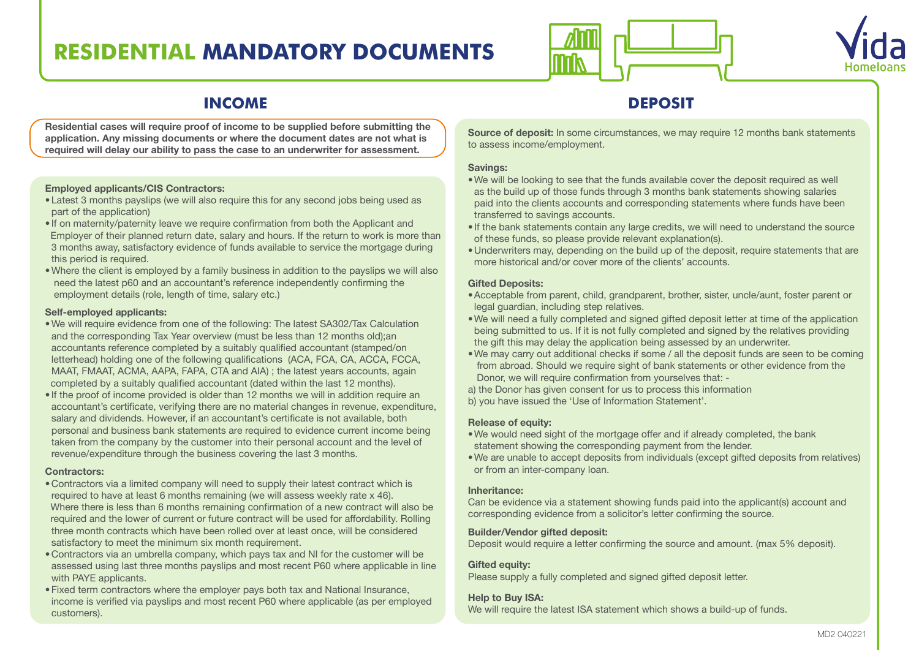# **RESIDENTIAL MANDATORY DOCUMENTS**





## **INCOME DEPOSIT**

**Residential cases will require proof of income to be supplied before submitting the application. Any missing documents or where the document dates are not what is required will delay our ability to pass the case to an underwriter for assessment.** 

#### **Employed applicants/CIS Contractors:**

- •Latest 3 months payslips (we will also require this for any second jobs being used as part of the application)
- If on maternity/paternity leave we require confirmation from both the Applicant and Employer of their planned return date, salary and hours. If the return to work is more than 3 months away, satisfactory evidence of funds available to service the mortgage during this period is required.
- •Where the client is employed by a family business in addition to the payslips we will also need the latest p60 and an accountant's reference independently confirming the employment details (role, length of time, salary etc.)

#### **Self-employed applicants:**

- •We will require evidence from one of the following: The latest SA302/Tax Calculation and the corresponding Tax Year overview (must be less than 12 months old);an accountants reference completed by a suitably qualified accountant (stamped/on letterhead) holding one of the following qualifications (ACA, FCA, CA, ACCA, FCCA, MAAT, FMAAT, ACMA, AAPA, FAPA, CTA and AIA) ; the latest years accounts, again completed by a suitably qualified accountant (dated within the last 12 months).
- If the proof of income provided is older than 12 months we will in addition require an accountant's certificate, verifying there are no material changes in revenue, expenditure, salary and dividends. However, if an accountant's certificate is not available, both personal and business bank statements are required to evidence current income being taken from the company by the customer into their personal account and the level of revenue/expenditure through the business covering the last 3 months.

#### **Contractors:**

- •Contractors via a limited company will need to supply their latest contract which is required to have at least 6 months remaining (we will assess weekly rate x 46). Where there is less than 6 months remaining confirmation of a new contract will also be required and the lower of current or future contract will be used for affordability. Rolling three month contracts which have been rolled over at least once, will be considered satisfactory to meet the minimum six month requirement.
- •Contractors via an umbrella company, which pays tax and NI for the customer will be assessed using last three months payslips and most recent P60 where applicable in line with PAYE applicants.
- •Fixed term contractors where the employer pays both tax and National Insurance, income is verified via payslips and most recent P60 where applicable (as per employed customers).

**Source of deposit:** In some circumstances, we may require 12 months bank statements to assess income/employment.

#### **Savings:**

- •We will be looking to see that the funds available cover the deposit required as well as the build up of those funds through 3 months bank statements showing salaries paid into the clients accounts and corresponding statements where funds have been transferred to savings accounts.
- If the bank statements contain any large credits, we will need to understand the source of these funds, so please provide relevant explanation(s).
- •Underwriters may, depending on the build up of the deposit, require statements that are more historical and/or cover more of the clients' accounts.

### **Gifted Deposits:**

- •Acceptable from parent, child, grandparent, brother, sister, uncle/aunt, foster parent or legal guardian, including step relatives.
- •We will need a fully completed and signed gifted deposit letter at time of the application being submitted to us. If it is not fully completed and signed by the relatives providing the gift this may delay the application being assessed by an underwriter.
- •We may carry out additional checks if some / all the deposit funds are seen to be coming from abroad. Should we require sight of bank statements or other evidence from the Donor, we will require confirmation from yourselves that: -
- a) the Donor has given consent for us to process this information
- b) you have issued the 'Use of Information Statement'.

### **Release of equity:**

- •We would need sight of the mortgage offer and if already completed, the bank statement showing the corresponding payment from the lender.
- •We are unable to accept deposits from individuals (except gifted deposits from relatives) or from an inter-company loan.

### **Inheritance:**

Can be evidence via a statement showing funds paid into the applicant(s) account and corresponding evidence from a solicitor's letter confirming the source.

### **Builder/Vendor gifted deposit:**

Deposit would require a letter confirming the source and amount. (max 5% deposit).

### **Gifted equity:**

Please supply a fully completed and signed gifted deposit letter.

### **Help to Buy ISA:**

We will require the latest ISA statement which shows a build-up of funds.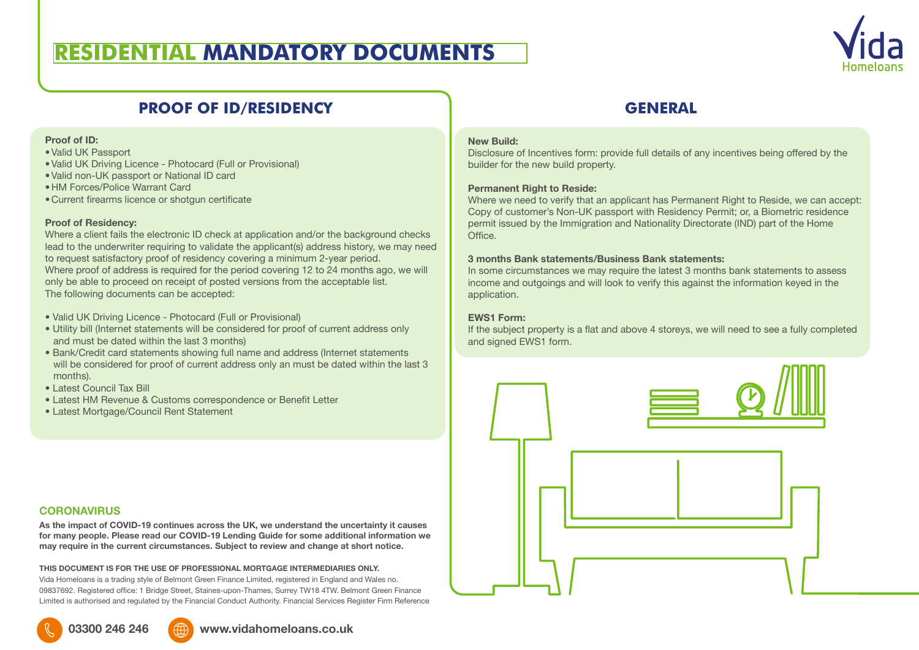## **RESIDENTIAL MANDATORY DOCUMENTS**



## **PROOF OF ID/RESIDENCY GENERAL**

#### **Proof of ID:**

- •Valid UK Passport
- •Valid UK Driving Licence Photocard (Full or Provisional)
- •Valid non-UK passport or National ID card
- •HM Forces/Police Warrant Card
- •Current firearms licence or shotgun certificate

#### **Proof of Residency:**

Where a client fails the electronic ID check at application and/or the background checks lead to the underwriter requiring to validate the applicant(s) address history, we may need to request satisfactory proof of residency covering a minimum 2-year period. Where proof of address is required for the period covering 12 to 24 months ago, we will only be able to proceed on receipt of posted versions from the acceptable list. The following documents can be accepted:

- Valid UK Driving Licence Photocard (Full or Provisional)
- Utility bill (Internet statements will be considered for proof of current address only and must be dated within the last 3 months)
- Bank/Credit card statements showing full name and address (Internet statements will be considered for proof of current address only an must be dated within the last 3 months).
- Latest Council Tax Bill
- Latest HM Revenue & Customs correspondence or Benefit Letter
- Latest Mortgage/Council Rent Statement

#### **CORONAVIRUS**

**As the impact of COVID-19 continues across the UK, we understand the uncertainty it causes for many people. Please read our COVID-19 Lending Guide for some additional information we may require in the current circumstances. Subject to review and change at short notice.**

**THIS DOCUMENT IS FOR THE USE OF PROFESSIONAL MORTGAGE INTERMEDIARIES ONLY.** 

Vida Homeloans is a trading style of Belmont Green Finance Limited, registered in England and Wales no. 09837692. Registered office: 1 Bridge Street, Staines-upon-Thames, Surrey TW18 4TW. Belmont Green Finance Limited is authorised and regulated by the Financial Conduct Authority. Financial Services Register Firm Reference

# **New Build:**

Disclosure of Incentives form: provide full details of any incentives being offered by the builder for the new build property.

#### **Permanent Right to Reside:**

Where we need to verify that an applicant has Permanent Right to Reside, we can accept: Copy of customer's Non-UK passport with Residency Permit; or, a Biometric residence permit issued by the Immigration and Nationality Directorate (IND) part of the Home **Office** 

#### **3 months Bank statements/Business Bank statements:**

In some circumstances we may require the latest 3 months bank statements to assess income and outgoings and will look to verify this against the information keyed in the application.

#### **EWS1 Form:**

If the subject property is a flat and above 4 storeys, we will need to see a fully completed and signed EWS1 form.



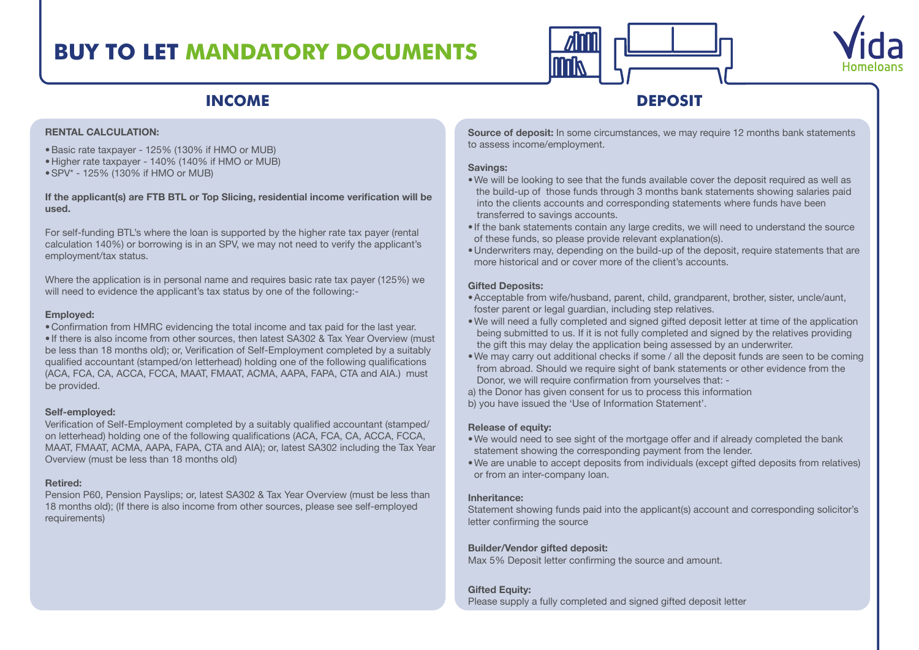# **BUY TO LET MANDATORY DOCUMENTS**





## **INCOME DEPOSIT**

#### **RENTAL CALCULATION:**

- •Basic rate taxpayer 125% (130% if HMO or MUB)
- •Higher rate taxpayer 140% (140% if HMO or MUB)
- •SPV\* 125% (130% if HMO or MUB)

#### **If the applicant(s) are FTB BTL or Top Slicing, residential income verification will be used.**

For self-funding BTL's where the loan is supported by the higher rate tax payer (rental calculation 140%) or borrowing is in an SPV, we may not need to verify the applicant's employment/tax status.

Where the application is in personal name and requires basic rate tax payer (125%) we will need to evidence the applicant's tax status by one of the following:-

#### **Employed:**

•Confirmation from HMRC evidencing the total income and tax paid for the last year. • If there is also income from other sources, then latest SA302 & Tax Year Overview (must be less than 18 months old); or, Verification of Self-Employment completed by a suitably qualified accountant (stamped/on letterhead) holding one of the following qualifications (ACA, FCA, CA, ACCA, FCCA, MAAT, FMAAT, ACMA, AAPA, FAPA, CTA and AIA.) must be provided.

#### **Self-employed:**

Verification of Self-Employment completed by a suitably qualified accountant (stamped/ on letterhead) holding one of the following qualifications (ACA, FCA, CA, ACCA, FCCA, MAAT, FMAAT, ACMA, AAPA, FAPA, CTA and AIA); or, latest SA302 including the Tax Year Overview (must be less than 18 months old)

#### **Retired:**

Pension P60, Pension Payslips; or, latest SA302 & Tax Year Overview (must be less than 18 months old); (If there is also income from other sources, please see self-employed requirements)

**Source of deposit:** In some circumstances, we may require 12 months bank statements to assess income/employment.

#### **Savings:**

- •We will be looking to see that the funds available cover the deposit required as well as the build-up of those funds through 3 months bank statements showing salaries paid into the clients accounts and corresponding statements where funds have been transferred to savings accounts.
- If the bank statements contain any large credits, we will need to understand the source of these funds, so please provide relevant explanation(s).
- •Underwriters may, depending on the build-up of the deposit, require statements that are more historical and or cover more of the client's accounts.

### **Gifted Deposits:**

- •Acceptable from wife/husband, parent, child, grandparent, brother, sister, uncle/aunt, foster parent or legal guardian, including step relatives.
- •We will need a fully completed and signed gifted deposit letter at time of the application being submitted to us. If it is not fully completed and signed by the relatives providing the gift this may delay the application being assessed by an underwriter.
- •We may carry out additional checks if some / all the deposit funds are seen to be coming from abroad. Should we require sight of bank statements or other evidence from the Donor, we will require confirmation from yourselves that: -
- a) the Donor has given consent for us to process this information
- b) you have issued the 'Use of Information Statement'.

### **Release of equity:**

- •We would need to see sight of the mortgage offer and if already completed the bank statement showing the corresponding payment from the lender.
- •We are unable to accept deposits from individuals (except gifted deposits from relatives) or from an inter-company loan.

### **Inheritance:**

Statement showing funds paid into the applicant(s) account and corresponding solicitor's letter confirming the source

### **Builder/Vendor gifted deposit:**

Max 5% Deposit letter confirming the source and amount.

### **Gifted Equity:**

Please supply a fully completed and signed gifted deposit letter